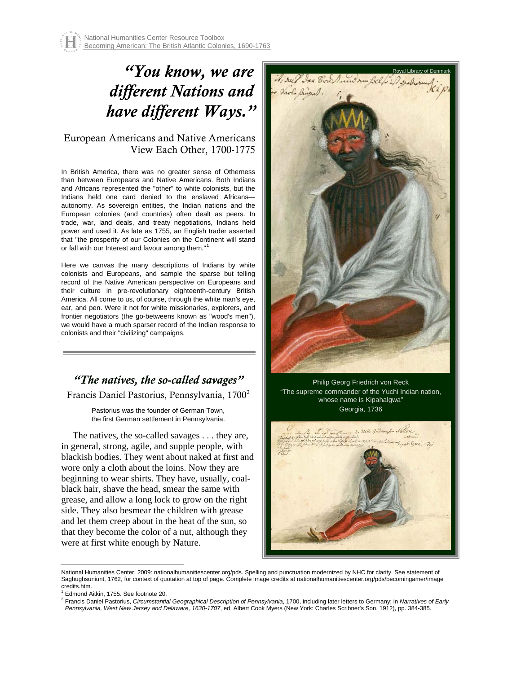# *\* ["You know, we are](#page-0-0)  [different Nations and](#page-0-0)  have different Ways."*

#### European Americans and Native Americans View Each Other, 1700-1775

In British America, there was no greater sense of Otherness than between Europeans and Native Americans. Both Indians and Africans represented the "other" to white colonists, but the Indians held one card denied to the enslaved Africans autonomy. As sovereign entities, the Indian nations and the European colonies (and countries) often dealt as peers. In trade, war, land deals, and treaty negotiations, Indians held power and used it. As late as 1755, an English trader asserted that "the prosperity of our Colonies on the Continent will stand or fall with our Interest and favour among them."<sup>[1](#page-0-1)</sup>

Here we canvas the many descriptions of Indians by white colonists and Europeans, and sample the sparse but telling record of the Native American perspective on Europeans and their culture in pre-revolutionary eighteenth-century British America. All come to us, of course, through the white man's eye, ear, and pen. Were it not for white missionaries, explorers, and frontier negotiators (the go-betweens known as "wood's men"), we would have a much sparser record of the Indian response to colonists and their "civilizing" campaigns.

# *"The natives, the so-called savages"*  Francis Daniel Pastorius, Pennsylvania, 1700<sup>[2](#page-0-2)</sup>

Pastorius was the founder of German Town, the first German settlement in Pennsylvania.

 The natives, the so-called savages . . . they are, in general, strong, agile, and supple people, with blackish bodies. They went about naked at first and wore only a cloth about the loins. Now they are beginning to wear shirts. They have, usually, coalblack hair, shave the head, smear the same with grease, and allow a long lock to grow on the right side. They also besmear the children with grease and let them creep about in the heat of the sun, so that they become the color of a nut, although they were at first white enough by Nature.



Philip Georg Friedrich von Reck "The supreme commander of the Yuchi Indian nation, whose name is Kipahalgwa" Georgia, 1736



National Humanities Center, 2009: nationalhumanitiescenter.org/pds. Spelling and punctuation modernized by NHC for clarity. See statement of Saghughsuniunt, 1762, for context of quotation at top of page. Complete image credits at nationalhumanitiescenter.org/pds/becomingamer/image credits.htm.

.

<span id="page-0-2"></span><span id="page-0-1"></span><span id="page-0-0"></span><sup>1</sup> Edmond Aitkin, 1755. See footnote 20.

<sup>2</sup> Francis Daniel Pastorius, *Circumstantial Geographical Description of Pennsylvania*, 1700, including later letters to Germany; in *Narratives of Early Pennsylvania, West New Jersey and Delaware, 1630-1707*, ed. Albert Cook Myers (New York: Charles Scribner's Son, 1912), pp. 384-385.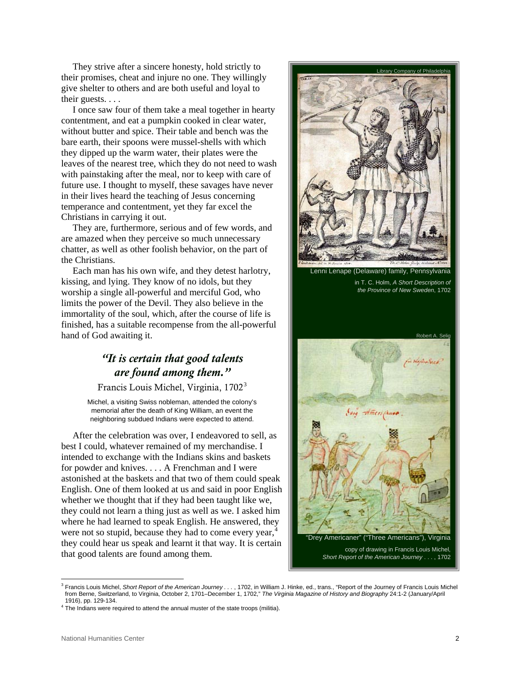They strive after a sincere honesty, hold strictly to their promises, cheat and injure no one. They willingly give shelter to others and are both useful and loyal to their guests. . . .

 I once saw four of them take a meal together in hearty contentment, and eat a pumpkin cooked in clear water, without butter and spice. Their table and bench was the bare earth, their spoons were mussel-shells with which they dipped up the warm water, their plates were the leaves of the nearest tree, which they do not need to wash with painstaking after the meal, nor to keep with care of future use. I thought to myself, these savages have never in their lives heard the teaching of Jesus concerning temperance and contentment, yet they far excel the Christians in carrying it out.

 They are, furthermore, serious and of few words, and are amazed when they perceive so much unnecessary chatter, as well as other foolish behavior, on the part of the Christians.

 Each man has his own wife, and they detest harlotry, kissing, and lying. They know of no idols, but they worship a single all-powerful and merciful God, who limits the power of the Devil. They also believe in the immortality of the soul, which, after the course of life is finished, has a suitable recompense from the all-powerful hand of God awaiting it.

# *"It is certain that good talents are found among them."*

Francis Louis Michel, Virginia, 1702<sup>[3](#page-1-0)</sup>

Michel, a visiting Swiss nobleman, attended the colony's memorial after the death of King William, an event the neighboring subdued Indians were expected to attend.

 After the celebration was over, I endeavored to sell, as best I could, whatever remained of my merchandise. I intended to exchange with the Indians skins and baskets for powder and knives. . . . A Frenchman and I were astonished at the baskets and that two of them could speak English. One of them looked at us and said in poor English whether we thought that if they had been taught like we, they could not learn a thing just as well as we. I asked him where he had learned to speak English. He answered, they were not so stupid, because they had to come every year,<sup>[4](#page-1-1)</sup> they could hear us speak and learnt it that way. It is certain that good talents are found among them.



Lenni Lenape (Delaware) family, Pennsylvania

in T. C. Holm, *A Short Description of the Province of New Sweden*, 1702



<sup>&</sup>lt;sup>3</sup> Francis Louis Michel, Short Report of the American Journey . . ., 1702, in William J. Hinke, ed., trans., "Report of the Journey of Francis Louis Michel from Berne, Switzerland, to Virginia, October 2, 1701–December 1, 1702," *The Virginia Magazine of History and Biography* 24:1-2 (January/April 1916), pp. 129-134.

<span id="page-1-1"></span><span id="page-1-0"></span> $4$  The Indians were required to attend the annual muster of the state troops (militia).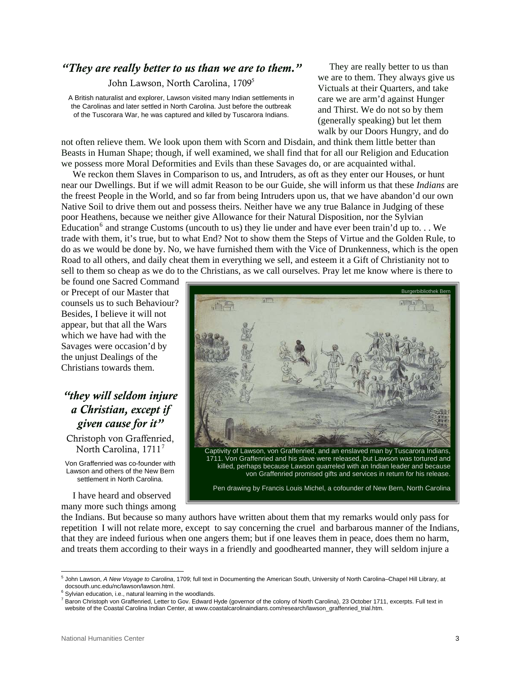### *"They are really better to us than we are to them."*

John Lawson, North Carolina, 1709<sup>5</sup>

A British naturalist and explorer, Lawson visited many Indian settlements in the Carolinas and later settled in North Carolina. Just before the outbreak of the Tuscorara War, he was captured and killed by Tuscarora Indians.

not often relieve them. We look upon them with Scorn and Disdain, and think them little better than Beasts in Human Shape; though, if well examined, we shall find that for all our Religion and Education we possess more Moral Deformities and Evils than these Savages do, or are acquainted withal. [5](#page-2-0)

 We reckon them Slaves in Comparison to us, and Intruders, as oft as they enter our Houses, or hunt near our Dwellings. But if we will admit Reason to be our Guide, she will inform us that these *Indians* are the freest People in the World, and so far from being Intruders upon us, that we have abandon'd our own Native Soil to drive them out and possess theirs. Neither have we any true Balance in Judging of these poor Heathens, because we neither give Allowance for their Natural Disposition, nor the Sylvian Education<sup>[6](#page-2-1)</sup> and strange Customs (uncouth to us) they lie under and have ever been train'd up to... We trade with them, it's true, but to what End? Not to show them the Steps of Virtue and the Golden Rule, to do as we would be done by. No, we have furnished them with the Vice of Drunkenness, which is the open Road to all others, and daily cheat them in everything we sell, and esteem it a Gift of Christianity not to sell to them so cheap as we do to the Christians, as we call ourselves. Pray let me know where is there to

be found one Sacred Command or Precept of our Master that counsels us to such Behaviour? Besides, I believe it will not appear, but that all the Wars which we have had with the Savages were occasion'd by the unjust Dealings of the Christians towards them.

# *"they will seldom injure a Christian, except if given cause for it"*

Christoph von Graffenried, North Carolina, 1[7](#page-2-2)11<sup>7</sup>

Von Graffenried was co-founder with Lawson and others of the New Bern settlement in North Carolina.

 I have heard and observed many more such things among



 They are really better to us than we are to them. They always give us Victuals at their Quarters, and take care we are arm'd against Hunger and Thirst. We do not so by them (generally speaking) but let them walk by our Doors Hungry, and do

Pen drawing by Francis Louis Michel, a cofounder of New Bern, North Carolina

the Indians. But because so many authors have written about them that my remarks would only pass for repetition I will not relate more, except to say concerning the cruel and barbarous manner of the Indians, that they are indeed furious when one angers them; but if one leaves them in peace, does them no harm, and treats them according to their ways in a friendly and goodhearted manner, they will seldom injure a

<u>.</u>

<span id="page-2-0"></span><sup>&</sup>lt;sup>5</sup> John Lawson, *A New Voyage to Carolina*, 1709; full text in Documenting the American South, University of North Carolina–Chapel Hill Library, at

docsouth.unc.edu/nc/lawson/lawson.html.<br><sup>6</sup> Sylvian education, i.e., natural learning in the woodlands.

<span id="page-2-2"></span><span id="page-2-1"></span><sup>&</sup>lt;sup>7</sup> Baron Christoph von Graffenried, Letter to Gov. Edward Hyde (governor of the colony of North Carolina), 23 October 1711, excerpts. Full text in website of the Coastal Carolina Indian Center, at www.coastalcarolinaindians.com/research/lawson\_graffenried\_trial.htm.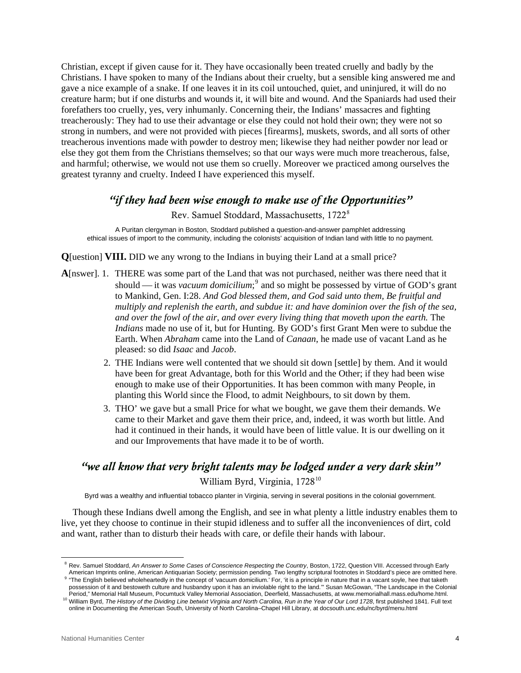Christian, except if given cause for it. They have occasionally been treated cruelly and badly by the Christians. I have spoken to many of the Indians about their cruelty, but a sensible king answered me and gave a nice example of a snake. If one leaves it in its coil untouched, quiet, and uninjured, it will do no creature harm; but if one disturbs and wounds it, it will bite and wound. And the Spaniards had used their forefathers too cruelly, yes, very inhumanly. Concerning their, the Indians' massacres and fighting treacherously: They had to use their advantage or else they could not hold their own; they were not so strong in numbers, and were not provided with pieces [firearms], muskets, swords, and all sorts of other treacherous inventions made with powder to destroy men; likewise they had neither powder nor lead or else they got them from the Christians themselves; so that our ways were much more treacherous, false, and harmful; otherwise, we would not use them so cruelly. Moreover we practiced among ourselves the greatest tyranny and cruelty. Indeed I have experienced this myself.

#### *"if they had been wise enough to make use of the Opportunities"*

Rev. Samuel Stoddard, Massachusetts, 1722[8](#page-3-0)

A Puritan clergyman in Boston, Stoddard published a question-and-answer pamphlet addressing ethical issues of import to the community, including the colonists' acquisition of Indian land with little to no payment.

**Q**[uestion] **VIII.** DID we any wrong to the Indians in buying their Land at a small price?

- **A**[nswer]. 1. THERE was some part of the Land that was not purchased, neither was there need that it should — it was *vacuum domicilium*;<sup>[9](#page-3-1)</sup> and so might be possessed by virtue of GOD's grant to Mankind, Gen. I:28. *And God blessed them, and God said unto them, Be fruitful and multiply and replenish the earth, and subdue it: and have dominion over the fish of the sea, and over the fowl of the air, and over every living thing that moveth upon the earth.* The *Indians* made no use of it, but for Hunting. By GOD's first Grant Men were to subdue the Earth. When *Abraham* came into the Land of *Canaan*, he made use of vacant Land as he pleased: so did *Isaac* and *Jacob*.
	- 2. THE Indians were well contented that we should sit down [settle] by them. And it would have been for great Advantage, both for this World and the Other; if they had been wise enough to make use of their Opportunities. It has been common with many People, in planting this World since the Flood, to admit Neighbours, to sit down by them.
	- 3. THO' we gave but a small Price for what we bought, we gave them their demands. We came to their Market and gave them their price, and, indeed, it was worth but little. And had it continued in their hands, it would have been of little value. It is our dwelling on it and our Improvements that have made it to be of worth.

# *"we all know that very bright talents may be lodged under a very dark skin"*  William Byrd, Virginia, 1728<sup>[10](#page-3-2)</sup>

Byrd was a wealthy and influential tobacco planter in Virginia, serving in several positions in the colonial government.

 Though these Indians dwell among the English, and see in what plenty a little industry enables them to live, yet they choose to continue in their stupid idleness and to suffer all the inconveniences of dirt, cold and want, rather than to disturb their heads with care, or defile their hands with labour.

<span id="page-3-0"></span><sup>&</sup>lt;sup>8</sup> Rev. Samuel Stoddard, An Answer to Some Cases of Conscience Respecting the Country, Boston, 1722, Question VIII. Accessed through Early American Imprints online, American Antiquarian Society; permission pending. Two lengthy scriptural footnotes in Stoddard's piece are omitted here.

<span id="page-3-1"></span><sup>&</sup>lt;sup>9</sup> "The English believed wholeheartedly in the concept of 'vacuum domicilium.' For, 'it is a principle in nature that in a vacant soyle, hee that taketh possession of it and bestoweth culture and husbandry upon it has an inviolable right to the land."' Susan McGowan, "The Landscape in the Colonial<br>Period," Memorial Hall Museum, Pocumtuck Valley Memorial Association, Deerfi

<span id="page-3-2"></span><sup>&</sup>lt;sup>10</sup> William Byrd, The History of the Dividing Line betwixt Virginia and North Carolina, Run in the Year of Our Lord 1728, first published 1841. Full text online in Documenting the American South, University of North Carolina–Chapel Hill Library, at docsouth.unc.edu/nc/byrd/menu.html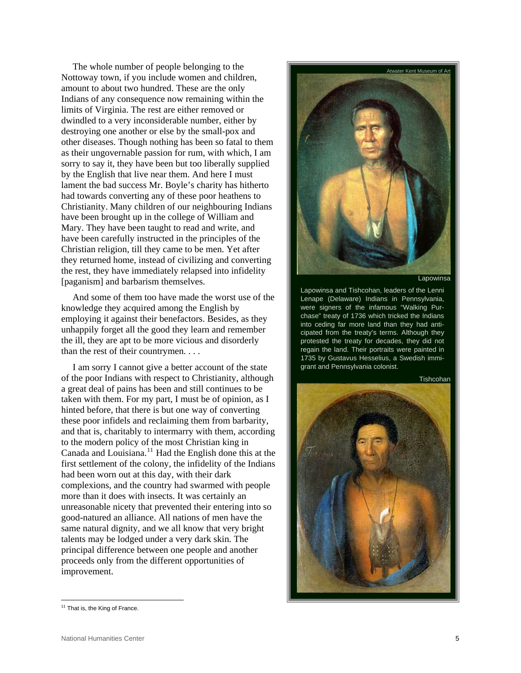The whole number of people belonging to the Nottoway town, if you include women and children, amount to about two hundred. These are the only Indians of any consequence now remaining within the limits of Virginia. The rest are either removed or dwindled to a very inconsiderable number, either by destroying one another or else by the small-pox and other diseases. Though nothing has been so fatal to them as their ungovernable passion for rum, with which, I am sorry to say it, they have been but too liberally supplied by the English that live near them. And here I must lament the bad success Mr. Boyle's charity has hitherto had towards converting any of these poor heathens to Christianity. Many children of our neighbouring Indians have been brought up in the college of William and Mary. They have been taught to read and write, and have been carefully instructed in the principles of the Christian religion, till they came to be men. Yet after they returned home, instead of civilizing and converting the rest, they have immediately relapsed into infidelity [paganism] and barbarism themselves.

 And some of them too have made the worst use of the knowledge they acquired among the English by employing it against their benefactors. Besides, as they unhappily forget all the good they learn and remember the ill, they are apt to be more vicious and disorderly than the rest of their countrymen. . . .

 I am sorry I cannot give a better account of the state of the poor Indians with respect to Christianity, although a great deal of pains has been and still continues to be taken with them. For my part, I must be of opinion, as I hinted before, that there is but one way of converting these poor infidels and reclaiming them from barbarity, and that is, charitably to intermarry with them, according to the modern policy of the most Christian king in Canada and Louisiana.<sup>[11](#page-4-0)</sup> Had the English done this at the first settlement of the colony, the infidelity of the Indians had been worn out at this day, with their dark complexions, and the country had swarmed with people more than it does with insects. It was certainly an unreasonable nicety that prevented their entering into so good-natured an alliance. All nations of men have the same natural dignity, and we all know that very bright talents may be lodged under a very dark skin. The principal difference between one people and another proceeds only from the different opportunities of improvement.



Lapowinsa

Lapowinsa and Tishcohan, leaders of the Lenni Lenape (Delaware) Indians in Pennsylvania, were signers of the infamous "Walking Purchase" treaty of 1736 which tricked the Indians into ceding far more land than they had anticipated from the treaty's terms. Although they protested the treaty for decades, they did not regain the land. Their portraits were painted in 1735 by Gustavus Hesselius, a Swedish immigrant and Pennsylvania colonist.

Tishcohan



<span id="page-4-0"></span><sup>&</sup>lt;sup>11</sup> That is, the King of France.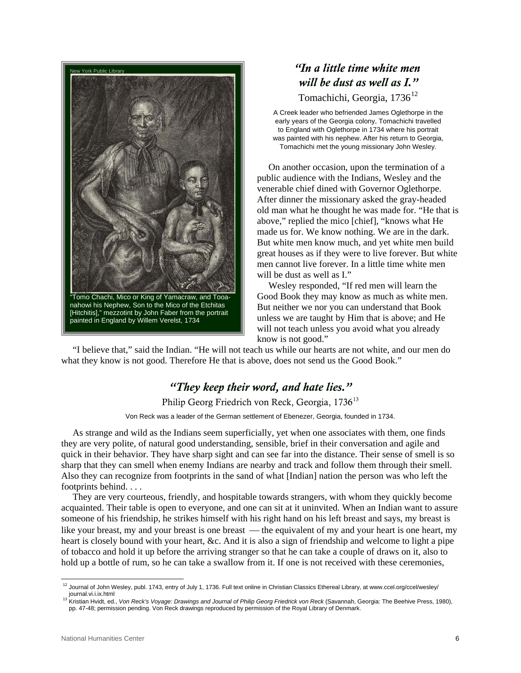

# *"In a little time white men will be dust as well as I."*

Tomachichi, Georgia, 1736<sup>[12](#page-5-0)</sup>

A Creek leader who befriended James Oglethorpe in the early years of the Georgia colony, Tomachichi travelled to England with Oglethorpe in 1734 where his portrait was painted with his nephew. After his return to Georgia, Tomachichi met the young missionary John Wesley.

 On another occasion, upon the termination of a public audience with the Indians, Wesley and the venerable chief dined with Governor Oglethorpe. After dinner the missionary asked the gray-headed old man what he thought he was made for. "He that is above," replied the mico [chief], "knows what He made us for. We know nothing. We are in the dark. But white men know much, and yet white men build great houses as if they were to live forever. But white men cannot live forever. In a little time white men will be dust as well as I."

 Wesley responded, "If red men will learn the Good Book they may know as much as white men. But neither we nor you can understand that Book unless we are taught by Him that is above; and He will not teach unless you avoid what you already know is not good."

 "I believe that," said the Indian. "He will not teach us while our hearts are not white, and our men do what they know is not good. Therefore He that is above, does not send us the Good Book."

### *"They keep their word, and hate lies."*

Philip Georg Friedrich von Reck, Georgia, 1736<sup>[13](#page-5-1)</sup>

Von Reck was a leader of the German settlement of Ebenezer, Georgia, founded in 1734.

 As strange and wild as the Indians seem superficially, yet when one associates with them, one finds they are very polite, of natural good understanding, sensible, brief in their conversation and agile and quick in their behavior. They have sharp sight and can see far into the distance. Their sense of smell is so sharp that they can smell when enemy Indians are nearby and track and follow them through their smell. Also they can recognize from footprints in the sand of what [Indian] nation the person was who left the footprints behind. . . .

 They are very courteous, friendly, and hospitable towards strangers, with whom they quickly become acquainted. Their table is open to everyone, and one can sit at it uninvited. When an Indian want to assure someone of his friendship, he strikes himself with his right hand on his left breast and says, my breast is like your breast, my and your breast is one breast — the equivalent of my and your heart is one heart, my heart is closely bound with your heart, &c. And it is also a sign of friendship and welcome to light a pipe of tobacco and hold it up before the arriving stranger so that he can take a couple of draws on it, also to hold up a bottle of rum, so he can take a swallow from it. If one is not received with these ceremonies,

<span id="page-5-0"></span><sup>&</sup>lt;sup>12</sup> Journal of John Wesley, publ. 1743, entry of July 1, 1736. Full text online in Christian Classics Ethereal Library, at www.ccel.org/ccel/wesley/ journal.vi.i.ix.html

<span id="page-5-1"></span><sup>13</sup> Kristian Hvidt, ed., *Von Reck's Voyage: Drawings and Journal of Philip Georg Friedrick von Reck* (Savannah, Georgia: The Beehive Press, 1980), pp. 47-48; permission pending. Von Reck drawings reproduced by permission of the Royal Library of Denmark.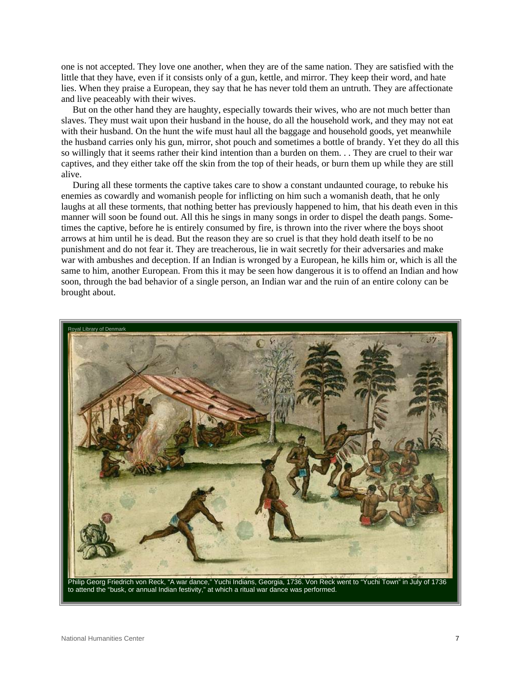one is not accepted. They love one another, when they are of the same nation. They are satisfied with the little that they have, even if it consists only of a gun, kettle, and mirror. They keep their word, and hate lies. When they praise a European, they say that he has never told them an untruth. They are affectionate and live peaceably with their wives.

 But on the other hand they are haughty, especially towards their wives, who are not much better than slaves. They must wait upon their husband in the house, do all the household work, and they may not eat with their husband. On the hunt the wife must haul all the baggage and household goods, yet meanwhile the husband carries only his gun, mirror, shot pouch and sometimes a bottle of brandy. Yet they do all this so willingly that it seems rather their kind intention than a burden on them. . . They are cruel to their war captives, and they either take off the skin from the top of their heads, or burn them up while they are still alive.

 During all these torments the captive takes care to show a constant undaunted courage, to rebuke his enemies as cowardly and womanish people for inflicting on him such a womanish death, that he only laughs at all these torments, that nothing better has previously happened to him, that his death even in this manner will soon be found out. All this he sings in many songs in order to dispel the death pangs. Sometimes the captive, before he is entirely consumed by fire, is thrown into the river where the boys shoot arrows at him until he is dead. But the reason they are so cruel is that they hold death itself to be no punishment and do not fear it. They are treacherous, lie in wait secretly for their adversaries and make war with ambushes and deception. If an Indian is wronged by a European, he kills him or, which is all the same to him, another European. From this it may be seen how dangerous it is to offend an Indian and how soon, through the bad behavior of a single person, an Indian war and the ruin of an entire colony can be brought about.



Philip Georg Friedrich von Reck, "A war dance," Yuchi Indians, Georgia, 1736. Von Reck went to "Yuchi Town" in July of 1736 to attend the "busk, or annual Indian festivity," at which a ritual war dance was performed.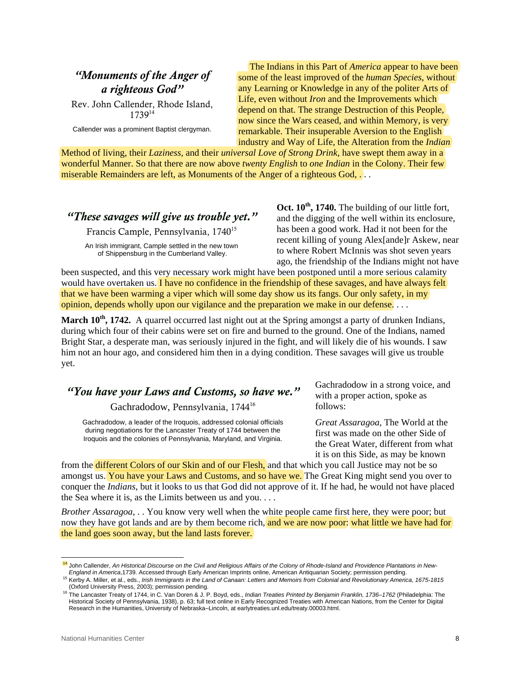# *"Monuments of the Anger of a righteous God"*

Rev. John Callender, Rhode Island, 173914

Callender was a prominent Baptist clergyman.

 The Indians in this Part of *America* appear to have been some of the least improved of the *human Species*, without any Learning or Knowledge in any of the politer Arts of Life, even without *Iron* and the Improvements which depend on that. The strange Destruction of this People, now since the Wars ceased, and within Memory, is very remarkable. Their insuperable Aversion to the English industry and Way of Life, the Alteration from the *Indian*

Method of living, their *Laziness,* and their *universal Love of Strong Drink*, have swept them away in a wonderful Manner. So that there are now above *twenty English* to *one Indian* in the Colony. Their few miserable Remainders are left, as Monuments of the Anger of a righteous God, ...

#### *"These savages will give us trouble yet."*

Francis Cample, Pennsylvania, 1740<sup>15</sup>

An Irish immigrant, Cample settled in the new town of Shippensburg in the Cumberland Valley.

**Oct. 10<sup>th</sup>, 1740.** The building of our little fort, and the digging of the well within its enclosure, has been a good work. Had it not been for the recent killing of young Alex[ande]r Askew, near to where Robert McInnis was shot seven years ago, the friendship of the Indians might not have

been suspected, and this very necessary work might have been postponed until a more serious calamity would have overtaken us. I have no confidence in the friendship of these savages, and have always felt that we have been warming a viper which will some day show us its fangs. Our only safety, in my opinion, depends wholly upon our vigilance and the preparation we make in our defense. . . .

March 10<sup>th</sup>, 1742. A quarrel occurred last night out at the Spring amongst a party of drunken Indians, during which four of their cabins were set on fire and burned to the ground. One of the Indians, named Bright Star, a desperate man, was seriously injured in the fight, and will likely die of his wounds. I saw him not an hour ago, and considered him then in a dying condition. These savages will give us trouble yet.

### *"You have your Laws and Customs, so have we."*

Gachradodow, Pennsylvania, 174416

Gachradodow, a leader of the Iroquois, addressed colonial officials during negotiations for the Lancaster Treaty of 1744 between the Iroquois and the colonies of Pennsylvania, Maryland, and Virginia.

Gachradodow in a strong voice, and with a proper action, spoke as follows:

*Great Assaragoa,* The World at the first was made on the other Side of the Great Water, different from what it is on this Side, as may be known

from the different Colors of our Skin and of our Flesh, and that which you call Justice may not be so amongst us. You have your Laws and Customs, and so have we. The Great King might send you over to conquer the *Indians*, but it looks to us that God did not approve of it. If he had, he would not have placed the Sea where it is, as the Limits between us and you....

*Brother Assaragoa*, . . You know very well when the white people came first here, they were poor; but now they have got lands and are by them become rich, and we are now poor: what little we have had for the land goes soon away, but the land lasts forever.

<span id="page-7-0"></span><sup>14</sup> John Callender, *An Historical Discourse on the Civil and Religious Affairs of the Colony of Rhode-Island and Providence Plantations in New-*

<span id="page-7-1"></span>England in America, 1739. Accessed through Early American Imprints online, American Antiquarian Society; permission pending.<br><sup>15</sup> Kerby A. Miller, et al., eds., *Irish Immigrants in the Land of Canaan: Letters and Memoirs* (Oxford University Press, 2003); permission pending.

<span id="page-7-2"></span><sup>16</sup> The Lancaster Treaty of 1744, in C. Van Doren & J. P. Boyd, eds., *Indian Treaties Printed by Benjamin Franklin, 1736–1762* (Philadelphia: The Historical Society of Pennsylvania, 1938), p. 63; full text online in Early Recognized Treaties with American Nations, from the Center for Digital Research in the Humanities, University of Nebraska–Lincoln, at earlytreaties.unl.edu/treaty.00003.html.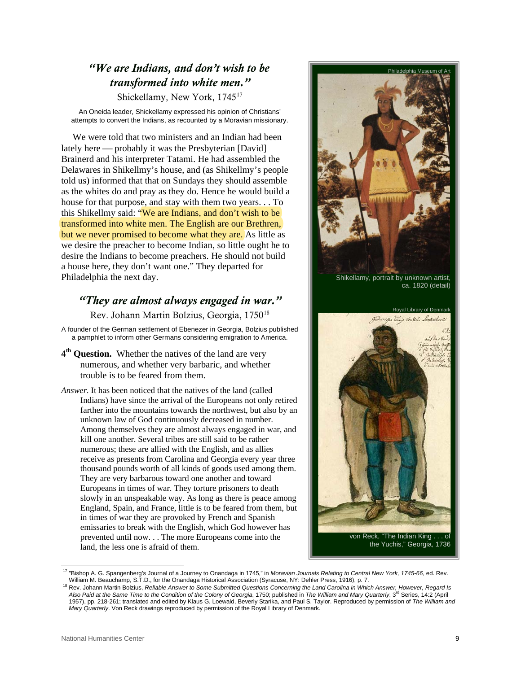# *"We are Indians, and don't wish to be transformed into white men."*

Shickellamy, New York, [17](#page-8-0)45<sup>17</sup>

An Oneida leader, Shickellamy expressed his opinion of Christians' attempts to convert the Indians, as recounted by a Moravian missionary.

 We were told that two ministers and an Indian had been lately here — probably it was the Presbyterian [David] Brainerd and his interpreter Tatami. He had assembled the Delawares in Shikellmy's house, and (as Shikellmy's people told us) informed that that on Sundays they should assemble as the whites do and pray as they do. Hence he would build a house for that purpose, and stay with them two years. . . To this Shikellmy said: "We are Indians, and don't wish to be transformed into white men. The English are our Brethren, but we never promised to become what they are. As little as we desire the preacher to become Indian, so little ought he to desire the Indians to become preachers. He should not build a house here, they don't want one." They departed for Philadelphia the next day.

# *"They are almost always engaged in war."*

Rev. Johann Martin Bolzius, Georgia, 1750<sup>[18](#page-8-1)</sup>

A founder of the German settlement of Ebenezer in Georgia, Bolzius published a pamphlet to inform other Germans considering emigration to America.

- **4th Question.** Whether the natives of the land are very numerous, and whether very barbaric, and whether trouble is to be feared from them.
- *Answer.* It has been noticed that the natives of the land (called Indians) have since the arrival of the Europeans not only retired farther into the mountains towards the northwest, but also by an unknown law of God continuously decreased in number. Among themselves they are almost always engaged in war, and kill one another. Several tribes are still said to be rather numerous; these are allied with the English, and as allies receive as presents from Carolina and Georgia every year three thousand pounds worth of all kinds of goods used among them. They are very barbarous toward one another and toward Europeans in times of war. They torture prisoners to death slowly in an unspeakable way. As long as there is peace among England, Spain, and France, little is to be feared from them, but in times of war they are provoked by French and Spanish emissaries to break with the English, which God however has prevented until now. . . The more Europeans come into the land, the less one is afraid of them.



Shikellamy, portrait by unknown artist, ca. 1820 (detail)



<sup>&</sup>lt;sup>17</sup> "Bishop A. G. Spangenberg's Journal of a Journey to Onandaga in 1745," in *Moravian Journals Relating to Central New York, 1745-66*, ed. Rev.

<span id="page-8-1"></span><span id="page-8-0"></span><sup>.</sup>William M. Beauchamp, S.T.D., for the Onandaga Historical Association (Syracuse, NY: Dehler Press, 1916), p. 7<br><sup>18</sup> Rev. Johann Martin Bolzius, *Reliable Answer to Some Submitted Questions Concerning the Land Carolina in* Also Paid at the Same Time to the Condition of the Colony of Georgia, 1750; published in The William and Mary Quarterly, 3<sup>rd</sup> Series, 14:2 (April 1957), pp. 218-261; translated and edited by Klaus G. Loewald, Beverly Starika, and Paul S. Taylor. Reproduced by permission of *The William and Mary Quarterly*. Von Reck drawings reproduced by permission of the Royal Library of Denmark.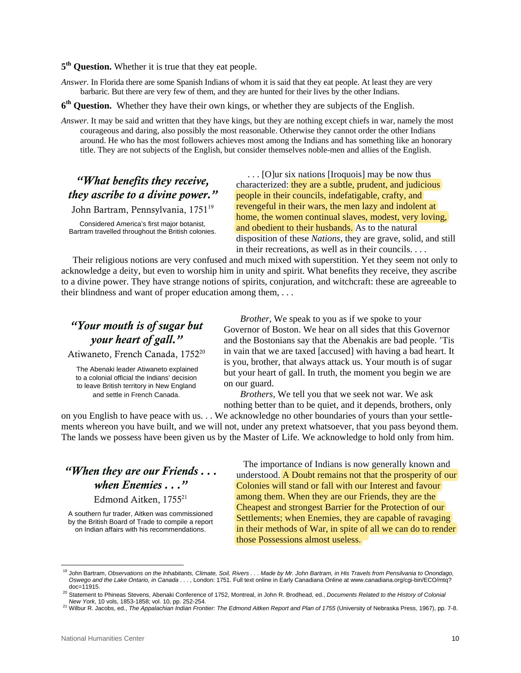**5th Question.** Whether it is true that they eat people.

*Answer.* In Florida there are some Spanish Indians of whom it is said that they eat people. At least they are very barbaric. But there are very few of them, and they are hunted for their lives by the other Indians.

**6th Question.** Whether they have their own kings, or whether they are subjects of the English.

*Answer.* It may be said and written that they have kings, but they are nothing except chiefs in war, namely the most courageous and daring, also possibly the most reasonable. Otherwise they cannot order the other Indians around. He who has the most followers achieves most among the Indians and has something like an honorary title. They are not subjects of the English, but consider themselves noble-men and allies of the English.

# *"What benefits they receive, they ascribe to a divine power."*

John Bartram, Pennsylvania, 1751<sup>19</sup>

Considered America's first major botanist, Bartram travelled throughout the British colonies.

 . . . [O]ur six nations [Iroquois] may be now thus characterized: they are a subtle, prudent, and judicious people in their councils, indefatigable, crafty, and revengeful in their wars, the men lazy and indolent at home, the women continual slaves, modest, very loving, and obedient to their husbands. As to the natural disposition of these *Nations*, they are grave, solid, and still in their recreations, as well as in their councils. . . .

 Their religious notions are very confused and much mixed with superstition. Yet they seem not only to acknowledge a deity, but even to worship him in unity and spirit. What benefits they receive, they ascribe to a divine power. They have strange notions of spirits, conjuration, and witchcraft: these are agreeable to their blindness and want of proper education among them,  $\dots$ 

# *"Your mouth is of sugar but your heart of gall."*

Atiwaneto, French Canada, 1752<sup>20</sup>

 The Abenaki leader Atiwaneto explained to a colonial official the Indians' decision to leave British territory in New England and settle in French Canada.

 *Brother*, We speak to you as if we spoke to your Governor of Boston. We hear on all sides that this Governor and the Bostonians say that the Abenakis are bad people. 'Tis in vain that we are taxed [accused] with having a bad heart. It is you, brother, that always attack us. Your mouth is of sugar but your heart of gall. In truth, the moment you begin we are on our guard.

 *Brothers,* We tell you that we seek not war. We ask nothing better than to be quiet, and it depends, brothers, only

on you English to have peace with us. . . We acknowledge no other boundaries of yours than your settlements whereon you have built, and we will not, under any pretext whatsoever, that you pass beyond them. The lands we possess have been given us by the Master of Life. We acknowledge to hold only from him.

# *"When they are our Friends . . . when Enemies . . ."*

Edmond Aitken, 1755<sup>21</sup>

A southern fur trader, Aitken was commissioned by the British Board of Trade to compile a report on Indian affairs with his recommendations.

 The importance of Indians is now generally known and understood. A Doubt remains not that the prosperity of our Colonies will stand or fall with our Interest and favour among them. When they are our Friends, they are the Cheapest and strongest Barrier for the Protection of our Settlements; when Enemies, they are capable of ravaging in their methods of War, in spite of all we can do to render those Possessions almost useless.[21](#page-9-2)

<span id="page-9-0"></span> $\overline{a}$ 19 John Bartram, *Observations on the Inhabitants, Climate, Soil, Rivers . . . Made by Mr. John Bartram, in His Travels from Pensilvania to Onondago, Oswego and the Lake Ontario, in Canada* . . . , London: 1751. Full text online in Early Canadiana Online at www.canadiana.org/cgi-bin/ECO/mtq? doc=11915.

<span id="page-9-1"></span><sup>20</sup> Statement to Phineas Stevens, Abenaki Conference of 1752, Montreal, in John R. Brodhead, ed., *Documents Related to the History of Colonial* 

<span id="page-9-2"></span>*New York, 10 vols, 1883-1888; vol. 10, pp. 252-254.*<br><sup>21</sup> Wilbur R. Jacobs, ed., *The Appalachian Indian Frontier: The Edmond Aitken Report and Plan of 1755* (University of Nebraska Press, 1967), pp. 7-8.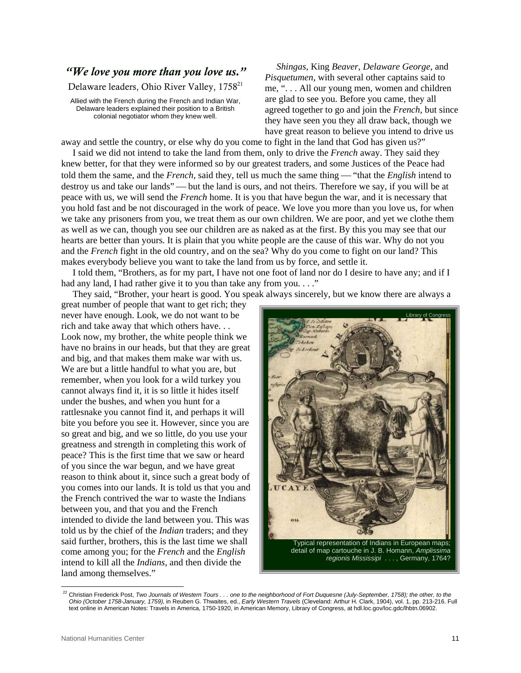#### *"We love you more than you love us."*

Delaware leaders, Ohio River Valley, 1758<sup>21</sup>

Allied with the French during the French and Indian War, Delaware leaders explained their position to a British colonial negotiator whom they knew well.

*Shingas*, King *Beaver*, *Delaware George*, and *Pisquetumen*, with several other captains said to me, ". . . All our young men, women and children are glad to see you. Before you came, they all agreed together to go and join the *French*, but since they have seen you they all draw back, though we have great reason to believe you intend to drive us

away and settle the country, or else why do you come to fight in the land that God has given us?"

 I said we did not intend to take the land from them, only to drive the *French* away. They said they knew better, for that they were informed so by our greatest traders, and some Justices of the Peace had told them the same, and the *French*, said they, tell us much the same thing — "that the *English* intend to destroy us and take our lands" — but the land is ours, and not theirs. Therefore we say, if you will be at peace with us, we will send the *French* home. It is you that have begun the war, and it is necessary that you hold fast and be not discouraged in the work of peace. We love you more than you love us, for when we take any prisoners from you, we treat them as our own children. We are poor, and yet we clothe them as well as we can, though you see our children are as naked as at the first. By this you may see that our hearts are better than yours. It is plain that you white people are the cause of this war. Why do not you and the *French* fight in the old country, and on the sea? Why do you come to fight on our land? This makes everybody believe you want to take the land from us by force, and settle it.

 I told them, "Brothers, as for my part, I have not one foot of land nor do I desire to have any; and if I had any land, I had rather give it to you than take any from you...."

They said, "Brother, your heart is good. You speak always sincerely, but we know there are always a

<span id="page-10-0"></span>great number of people that want to get rich; they never have enough. Look, we do not want to be rich and take away that which others have. . . Look now, my brother, the white people think we have no brains in our heads, but that they are great and big, and that makes them make war with us. We are but a little handful to what you are, but remember, when you look for a wild turkey you cannot always find it, it is so little it hides itself under the bushes, and when you hunt for a rattlesnake you cannot find it, and perhaps it will bite you before you see it. However, since you are so great and big, and we so little, do you use your greatness and strength in completing this work of peace? This is the first time that we saw or heard of you since the war begun, and we have great reason to think about it, since such a great body of you comes into our lands. It is told us that you and the French contrived the war to waste the Indians between you, and that you and the French intended to divide the land between you. This was told us by the chief of the *Indian* traders; and they said further, brothers, this is the last time we shall come among you; for the *French* and the *English* intend to kill all the *Indians*, and then divide the land among themselves."



<sup>22</sup> Christian Frederick Post, *Two Journals of Western Tours . . . one to the neighborhood of Fort Duquesne (July-September, 1758); the other, to the Ohio (October 1758-January, 1759)*, in Reuben G. Thwaites, ed., *Early Western Travels* (Cleveland: Arthur H. Clark, 1904), vol. 1, pp. 213-216. Full text online in American Notes: Travels in America, 1750-1920, in American Memory, Library of Congress, at hdl.loc.gov/loc.gdc/lhbtn.06902.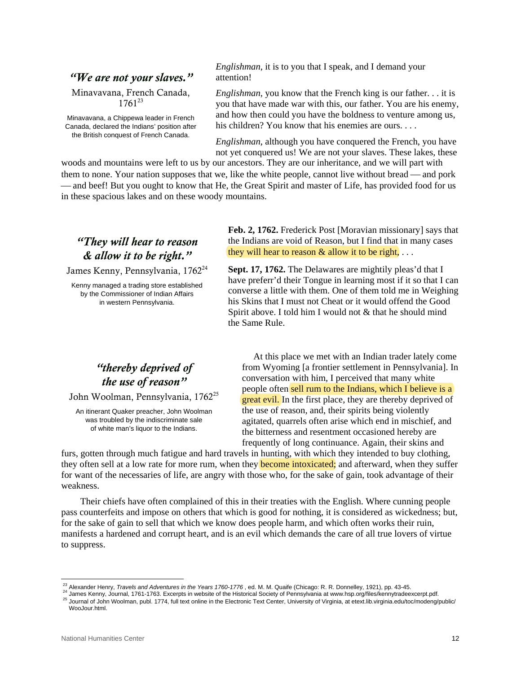#### *"We are not your slaves."* attention!

Minavavana, French Canada, 176123

Minavavana, a Chippewa leader in French Canada, declared the Indians' position after the British conquest of French Canada.

*Englishman*, it is to you that I speak, and I demand your

*Englishman*, you know that the French king is our father. . . it is you that have made war with this, our father. You are his enemy, and how then could you have the boldness to venture among us, his children? You know that his enemies are ours. . . .

*Englishman*, although you have conquered the French, you have not yet conquered us! We are not your slaves. These lakes, these

woods and mountains were left to us by our ancestors. They are our inheritance, and we will part with them to none. Your nation supposes that we, like the white people, cannot live without bread — and pork — and beef! But you ought to know that He, the Great Spirit and master of Life, has provided food for us in these spacious lakes and on these woody mountains.

# *"They will hear to reason & allow it to be right."*

James Kenny, Pennsylvania, 1762<sup>24</sup>

Kenny managed a trading store established by the Commissioner of Indian Affairs in western Pennsylvania.

**Feb. 2, 1762.** Frederick Post [Moravian missionary] says that the Indians are void of Reason, but I find that in many cases they will hear to reason  $&$  allow it to be right, ...

**Sept. 17, 1762.** The Delawares are mightily pleas'd that I have preferr'd their Tongue in learning most if it so that I can converse a little with them. One of them told me in Weighing his Skins that I must not Cheat or it would offend the Good Spirit above. I told him I would not & that he should mind the Same Rule.

### *"thereby deprived of the use of reason"*

John Woolman, Pennsylvania, 1762<sup>25</sup>

An itinerant Quaker preacher, John Woolman was troubled by the indiscriminate sale of white man's liquor to the Indians.

 At this place we met with an Indian trader lately come from Wyoming [a frontier settlement in Pennsylvania]. In conversation with him, I perceived that many white people often sell rum to the Indians, which I believe is a **great evil.** In the first place, they are thereby deprived of the use of reason, and, their spirits being violently agitated, quarrels often arise which end in mischief, and the bitterness and resentment occasioned hereby are frequently of long continuance. Again, their skins and

furs, gotten through much fatigue and hard travels in hunting, with which they intended to buy clothing, they often sell at a low rate for more rum, when they **become intoxicated;** and afterward, when they suffer for want of the necessaries of life, are angry with those who, for the sake of gain, took advantage of their weakness.

 Their chiefs have often complained of this in their treaties with the English. Where cunning people pass counterfeits and impose on others that which is good for nothing, it is considered as wickedness; but, for the sake of gain to sell that which we know does people harm, and which often works their ruin, manifests a hardened and corrupt heart, and is an evil which demands the care of all true lovers of virtue to suppress.

<span id="page-11-0"></span><sup>&</sup>lt;sup>23</sup> Alexander Henry, Travels and Adventures in the Years 1760-1776, ed. M. M. Quaife (Chicago: R. R. Donnelley, 1921), pp. 43-45.

<span id="page-11-2"></span><span id="page-11-1"></span>

<sup>24</sup> James Kenny, Journal, 1761-1763. Excerpts in website of the Historical Society of Pennsylvania at www.hsp.org/files/kennytradeexcerpt.pdf.<br><sup>24</sup> James Kenny, Journal, 1761-1763. Excerpts in website of the Historical Soci WooJour.html.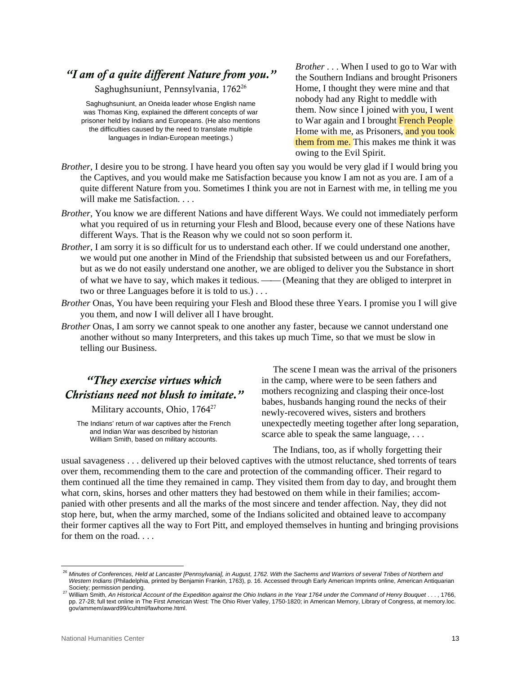# *"I am of a quite different Nature from you."*

Saghughsuniunt, Pennsylvania, 1762<sup>26</sup>

Saghughsuniunt, an Oneida leader whose English name was Thomas King, explained the different concepts of war prisoner held by Indians and Europeans. (He also mentions the difficulties caused by the need to translate multiple languages in Indian-European meetings.)

*Brother* . . . When I used to go to War with the Southern Indians and brought Prisoners Home, I thought they were mine and that nobody had any Right to meddle with them. Now since I joined with you, I went to War again and I brought French People Home with me, as Prisoners, and you took them from me. This makes me think it was owing to the Evil Spirit.

- *Brother*, I desire you to be strong. I have heard you often say you would be very glad if I would bring you the Captives, and you would make me Satisfaction because you know I am not as you are. I am of a quite different Nature from you. Sometimes I think you are not in Earnest with me, in telling me you will make me Satisfaction. . . .
- *Brother*, You know we are different Nations and have different Ways. We could not immediately perform what you required of us in returning your Flesh and Blood, because every one of these Nations have different Ways. That is the Reason why we could not so soon perform it.
- *Brother*, I am sorry it is so difficult for us to understand each other. If we could understand one another, we would put one another in Mind of the Friendship that subsisted between us and our Forefathers, but as we do not easily understand one another, we are obliged to deliver you the Substance in short of what we have to say, which makes it tedious. — (Meaning that they are obliged to interpret in two or three Languages before it is told to us.) . . .
- *Brother* Onas, You have been requiring your Flesh and Blood these three Years. I promise you I will give you them, and now I will deliver all I have brought.
- *Brother* Onas, I am sorry we cannot speak to one another any faster, because we cannot understand one another without so many Interpreters, and this takes up much Time, so that we must be slow in telling our Business.

# *"They exercise virtues which Christians need not blush to imitate."*

Military accounts, Ohio, 1764<sup>27</sup>

The Indians' return of war captives after the French and Indian War was described by historian William Smith, based on military accounts.

 The scene I mean was the arrival of the prisoners in the camp, where were to be seen fathers and mothers recognizing and clasping their once-lost babes, husbands hanging round the necks of their newly-recovered wives, sisters and brothers unexpectedly meeting together after long separation, scarce able to speak the same language, ...

The Indians, too, as if wholly forgetting their

usual savageness . . . delivered up their beloved captives with the utmost reluctance, shed torrents of tears over them, recommending them to the care and protection of the commanding officer. Their regard to them continued all the time they remained in camp. They visited them from day to day, and brought them what corn, skins, horses and other matters they had bestowed on them while in their families; accompanied with other presents and all the marks of the most sincere and tender affection. Nay, they did not stop here, but, when the army marched, some of the Indians solicited and obtained leave to accompany their former captives all the way to Fort Pitt, and employed themselves in hunting and bringing provisions for them on the road. . . .

<span id="page-12-0"></span> $\overline{a}$ <sup>26</sup> *Minutes of Conferences, Held at Lancaster [Pennsylvania], in August, 1762. With the Sachems and Warriors of several Tribes of Northern and Western Indians* (Philadelphia, printed by Benjamin Frankin, 1763), p. 16. Accessed through Early American Imprints online, American Antiquarian Society; permission pending.

<span id="page-12-1"></span><sup>27</sup> William Smith, *An Historical Account of the Expedition against the Ohio Indians in the Year 1764 under the Command of Henry Bouquet* . . . , 1766, pp. 27-28; full text online in The First American West: The Ohio River Valley, 1750-1820; in American Memory, Library of Congress, at memory.loc. gov/ammem/award99/icuhtml/fawhome.html.